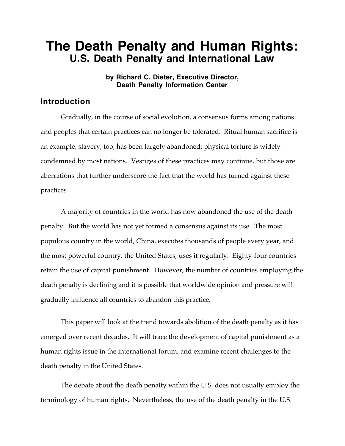# **The Death Penalty and Human Rights: U.S. Death Penalty and International Law**

**by Richard C. Dieter, Executive Director, Death Penalty Information Center**

#### **Introduction**

Gradually, in the course of social evolution, a consensus forms among nations and peoples that certain practices can no longer be tolerated. Ritual human sacrifice is an example; slavery, too, has been largely abandoned; physical torture is widely condemned by most nations. Vestiges of these practices may continue, but those are aberrations that further underscore the fact that the world has turned against these practices.

A majority of countries in the world has now abandoned the use of the death penalty. But the world has not yet formed a consensus against its use. The most populous country in the world, China, executes thousands of people every year, and the most powerful country, the United States, uses it regularly. Eighty-four countries retain the use of capital punishment. However, the number of countries employing the death penalty is declining and it is possible that worldwide opinion and pressure will gradually influence all countries to abandon this practice.

This paper will look at the trend towards abolition of the death penalty as it has emerged over recent decades. It will trace the development of capital punishment as a human rights issue in the international forum, and examine recent challenges to the death penalty in the United States.

The debate about the death penalty within the U.S. does not usually employ the terminology of human rights. Nevertheless, the use of the death penalty in the U.S.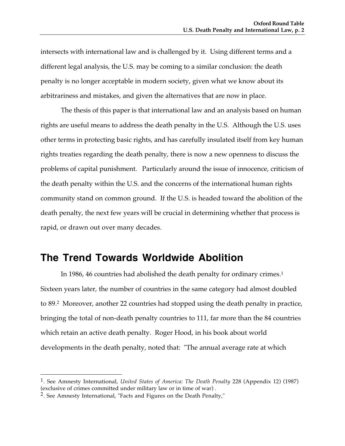intersects with international law and is challenged by it. Using different terms and a different legal analysis, the U.S. may be coming to a similar conclusion: the death penalty is no longer acceptable in modern society, given what we know about its arbitrariness and mistakes, and given the alternatives that are now in place.

The thesis of this paper is that international law and an analysis based on human rights are useful means to address the death penalty in the U.S. Although the U.S. uses other terms in protecting basic rights, and has carefully insulated itself from key human rights treaties regarding the death penalty, there is now a new openness to discuss the problems of capital punishment. Particularly around the issue of innocence, criticism of the death penalty within the U.S. and the concerns of the international human rights community stand on common ground. If the U.S. is headed toward the abolition of the death penalty, the next few years will be crucial in determining whether that process is rapid, or drawn out over many decades.

## **The Trend Towards Worldwide Abolition**

In 1986, 46 countries had abolished the death penalty for ordinary crimes.<sup>1</sup> Sixteen years later, the number of countries in the same category had almost doubled to 89.2 Moreover, another 22 countries had stopped using the death penalty in practice, bringing the total of non-death penalty countries to 111, far more than the 84 countries which retain an active death penalty. Roger Hood, in his book about world developments in the death penalty, noted that: "The annual average rate at which

<sup>1.</sup> See Amnesty International, *United States of America: The Death Penalty* 228 (Appendix 12) (1987) (exclusive of crimes committed under military law or in time of war) .

<sup>2.</sup> See Amnesty International, "Facts and Figures on the Death Penalty,"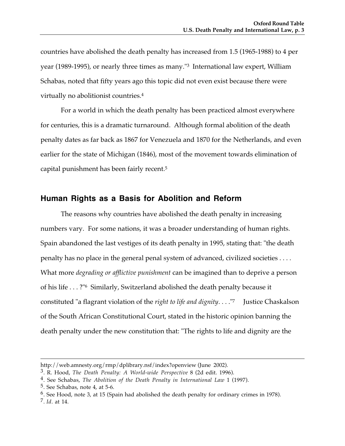countries have abolished the death penalty has increased from 1.5 (1965-1988) to 4 per year (1989-1995), or nearly three times as many."3 International law expert, William Schabas, noted that fifty years ago this topic did not even exist because there were virtually no abolitionist countries.4

For a world in which the death penalty has been practiced almost everywhere for centuries, this is a dramatic turnaround. Although formal abolition of the death penalty dates as far back as 1867 for Venezuela and 1870 for the Netherlands, and even earlier for the state of Michigan (1846), most of the movement towards elimination of capital punishment has been fairly recent.5

#### **Human Rights as a Basis for Abolition and Reform**

The reasons why countries have abolished the death penalty in increasing numbers vary. For some nations, it was a broader understanding of human rights. Spain abandoned the last vestiges of its death penalty in 1995, stating that: "the death penalty has no place in the general penal system of advanced, civilized societies . . . . What more *degrading or afflictive punishment* can be imagined than to deprive a person of his life . . . ?"6 Similarly, Switzerland abolished the death penalty because it constituted "a flagrant violation of the *right to life and dignity*. . . ."7 Justice Chaskalson of the South African Constitutional Court, stated in the historic opinion banning the death penalty under the new constitution that: "The rights to life and dignity are the

http://web.amnesty.org/rmp/dplibrary.nsf/index?openview (June 2002).

<sup>3.</sup> R. Hood, *The Death Penalty: A World-wide Perspective* 8 (2d edit. 1996).

<sup>4.</sup> See Schabas, *The Abolition of the Death Penalty in International Law* 1 (1997).

<sup>5.</sup> See Schabas, note 4, at 5-6.

<sup>6.</sup> See Hood, note 3, at 15 (Spain had abolished the death penalty for ordinary crimes in 1978).

<sup>7.</sup> *Id*. at 14.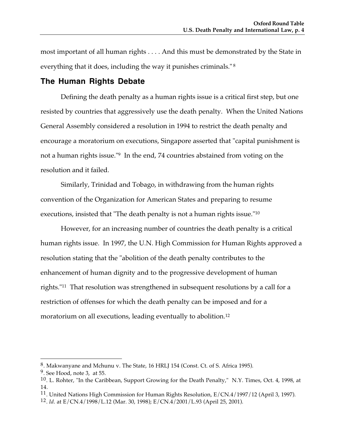most important of all human rights . . . . And this must be demonstrated by the State in everything that it does, including the way it punishes criminals." <sup>8</sup>

#### **The Human Rights Debate**

Defining the death penalty as a human rights issue is a critical first step, but one resisted by countries that aggressively use the death penalty. When the United Nations General Assembly considered a resolution in 1994 to restrict the death penalty and encourage a moratorium on executions, Singapore asserted that "capital punishment is not a human rights issue."9 In the end, 74 countries abstained from voting on the resolution and it failed.

Similarly, Trinidad and Tobago, in withdrawing from the human rights convention of the Organization for American States and preparing to resume executions, insisted that "The death penalty is not a human rights issue."10

However, for an increasing number of countries the death penalty is a critical human rights issue. In 1997, the U.N. High Commission for Human Rights approved a resolution stating that the "abolition of the death penalty contributes to the enhancement of human dignity and to the progressive development of human rights."11 That resolution was strengthened in subsequent resolutions by a call for a restriction of offenses for which the death penalty can be imposed and for a moratorium on all executions, leading eventually to abolition.12

<sup>8.</sup> Makwanyane and Mchunu v. The State, 16 HRLJ 154 (Const. Ct. of S. Africa 1995).

<sup>9.</sup> See Hood, note 3, at 55.

<sup>10.</sup> L. Rohter, "In the Caribbean, Support Growing for the Death Penalty," N.Y. Times, Oct. 4, 1998, at 14.

<sup>&</sup>lt;sup>11</sup>. United Nations High Commission for Human Rights Resolution, E/CN.4/1997/12 (April 3, 1997).

<sup>12.</sup> *Id*. at E/CN.4/1998/L.12 (Mar. 30, 1998); E/CN.4/2001/L.93 (April 25, 2001).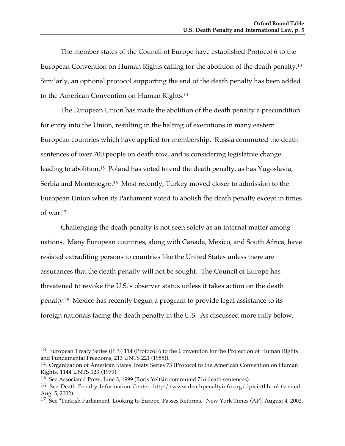The member states of the Council of Europe have established Protocol 6 to the European Convention on Human Rights calling for the abolition of the death penalty.13 Similarly, an optional protocol supporting the end of the death penalty has been added to the American Convention on Human Rights.14

The European Union has made the abolition of the death penalty a precondition for entry into the Union, resulting in the halting of executions in many eastern European countries which have applied for membership. Russia commuted the death sentences of over 700 people on death row, and is considering legislative change leading to abolition.15 Poland has voted to end the death penalty, as has Yugoslavia, Serbia and Montenegro.<sup>16</sup> Most recently, Turkey moved closer to admission to the European Union when its Parliament voted to abolish the death penalty except in times of war.17

Challenging the death penalty is not seen solely as an internal matter among nations. Many European countries, along with Canada, Mexico, and South Africa, have resisted extraditing persons to countries like the United States unless there are assurances that the death penalty will not be sought. The Council of Europe has threatened to revoke the U.S.'s observer status unless it takes action on the death penalty.18 Mexico has recently begun a program to provide legal assistance to its foreign nationals facing the death penalty in the U.S. As discussed more fully below,

<sup>13.</sup> European Treaty Series (ETS) 114 (Protocol 6 to the Convention for the Protection of Human Rights and Fundamental Freedoms, 213 UNTS 221 (1955)).

<sup>14.</sup> Organization of American States Treaty Series 73 (Protocol to the American Convention on Human Rights, 1144 UNTS 123 (1979).

<sup>15.</sup> See Associated Press, June 3, 1999 (Boris Yeltsin commuted 716 death sentences).

<sup>16.</sup> See Death Penalty Information Center, http://www.deathpenaltyinfo.org/dpicintl.html (visited Aug. 5, 2002).

<sup>17.</sup> See "Turkish Parliament, Looking to Europe, Passes Reforms," New York Times (AP), August 4, 2002.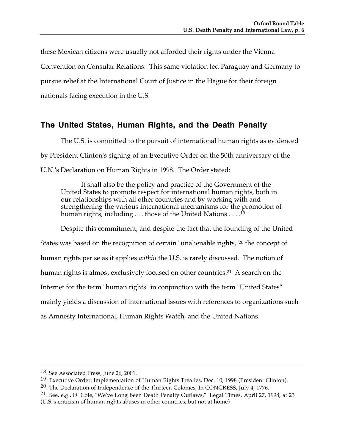these Mexican citizens were usually not afforded their rights under the Vienna Convention on Consular Relations. This same violation led Paraguay and Germany to pursue relief at the International Court of Justice in the Hague for their foreign nationals facing execution in the U.S.

### **The United States, Human Rights, and the Death Penalty**

The U.S. is committed to the pursuit of international human rights as evidenced by President Clinton's signing of an Executive Order on the 50th anniversary of the U.N.'s Declaration on Human Rights in 1998. The Order stated:

It shall also be the policy and practice of the Government of the United States to promote respect for international human rights, both in our relationships with all other countries and by working with and strengthening the various international mechanisms for the promotion of human rights, including . . . those of the United Nations  $\dots$ .<sup>19</sup>

Despite this commitment, and despite the fact that the founding of the United States was based on the recognition of certain "unalienable rights,"20 the concept of human rights per se as it applies *within* the U.S. is rarely discussed. The notion of human rights is almost exclusively focused on other countries.<sup>21</sup> A search on the Internet for the term "human rights" in conjunction with the term "United States" mainly yields a discussion of international issues with references to organizations such as Amnesty International, Human Rights Watch, and the United Nations.

 <sup>18.</sup> See Associated Press, June 26, 2001.

<sup>19.</sup> Executive Order: Implementation of Human Rights Treaties, Dec. 10, 1998 (President Clinton).

 $20$ . The Declaration of Independence of the Thirteen Colonies, In CONGRESS, July 4, 1776.

<sup>21.</sup> See, e.g., D. Cole, "We've Long Been Death Penalty Outlaws," Legal Times, April 27, 1998, at 23 (U.S.'s criticism of human rights abuses in other countries, but not at home) .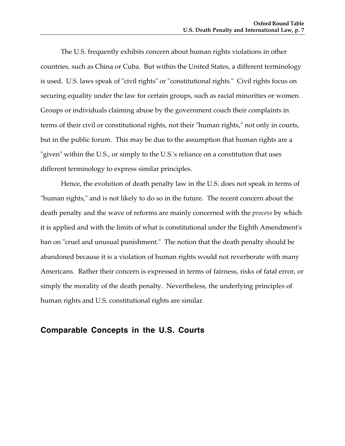The U.S. frequently exhibits concern about human rights violations in other countries, such as China or Cuba. But within the United States, a different terminology is used. U.S. laws speak of "civil rights" or "constitutional rights." Civil rights focus on securing equality under the law for certain groups, such as racial minorities or women. Groups or individuals claiming abuse by the government couch their complaints in terms of their civil or constitutional rights, not their "human rights," not only in courts, but in the public forum. This may be due to the assumption that human rights are a "given" within the U.S., or simply to the U.S.'s reliance on a constitution that uses different terminology to express similar principles.

Hence, the evolution of death penalty law in the U.S. does not speak in terms of "human rights," and is not likely to do so in the future. The recent concern about the death penalty and the wave of reforms are mainly concerned with the *process* by which it is applied and with the limits of what is constitutional under the Eighth Amendment's ban on "cruel and unusual punishment." The notion that the death penalty should be abandoned because it is a violation of human rights would not reverberate with many Americans. Rather their concern is expressed in terms of fairness, risks of fatal error, or simply the morality of the death penalty. Nevertheless, the underlying principles of human rights and U.S. constitutional rights are similar.

### **Comparable Concepts in the U.S. Courts**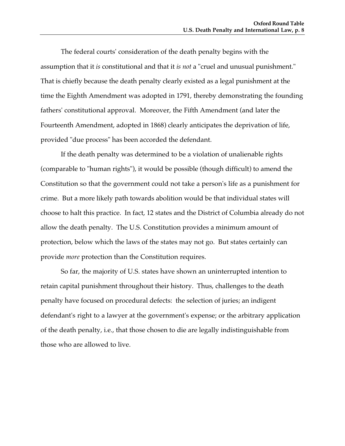The federal courts' consideration of the death penalty begins with the assumption that it *is* constitutional and that it *is not* a "cruel and unusual punishment." That is chiefly because the death penalty clearly existed as a legal punishment at the time the Eighth Amendment was adopted in 1791, thereby demonstrating the founding fathers' constitutional approval. Moreover, the Fifth Amendment (and later the Fourteenth Amendment, adopted in 1868) clearly anticipates the deprivation of life, provided "due process" has been accorded the defendant.

If the death penalty was determined to be a violation of unalienable rights (comparable to "human rights"), it would be possible (though difficult) to amend the Constitution so that the government could not take a person's life as a punishment for crime. But a more likely path towards abolition would be that individual states will choose to halt this practice. In fact, 12 states and the District of Columbia already do not allow the death penalty. The U.S. Constitution provides a minimum amount of protection, below which the laws of the states may not go. But states certainly can provide *more* protection than the Constitution requires.

So far, the majority of U.S. states have shown an uninterrupted intention to retain capital punishment throughout their history. Thus, challenges to the death penalty have focused on procedural defects: the selection of juries; an indigent defendant's right to a lawyer at the government's expense; or the arbitrary application of the death penalty, i.e., that those chosen to die are legally indistinguishable from those who are allowed to live.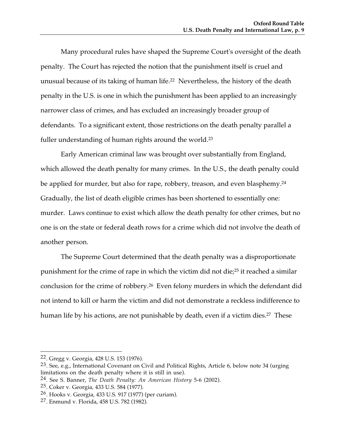Many procedural rules have shaped the Supreme Court's oversight of the death penalty. The Court has rejected the notion that the punishment itself is cruel and unusual because of its taking of human life.22 Nevertheless, the history of the death penalty in the U.S. is one in which the punishment has been applied to an increasingly narrower class of crimes, and has excluded an increasingly broader group of defendants. To a significant extent, those restrictions on the death penalty parallel a fuller understanding of human rights around the world.23

Early American criminal law was brought over substantially from England, which allowed the death penalty for many crimes. In the U.S., the death penalty could be applied for murder, but also for rape, robbery, treason, and even blasphemy.<sup>24</sup> Gradually, the list of death eligible crimes has been shortened to essentially one: murder. Laws continue to exist which allow the death penalty for other crimes, but no one is on the state or federal death rows for a crime which did not involve the death of another person.

The Supreme Court determined that the death penalty was a disproportionate punishment for the crime of rape in which the victim did not die;25 it reached a similar conclusion for the crime of robbery.26 Even felony murders in which the defendant did not intend to kill or harm the victim and did not demonstrate a reckless indifference to human life by his actions, are not punishable by death, even if a victim dies.<sup>27</sup> These

 $\overline{a}$ 22. Gregg v. Georgia, 428 U.S. 153 (1976).

<sup>23.</sup> See, e.g., International Covenant on Civil and Political Rights, Article 6, below note 34 (urging limitations on the death penalty where it is still in use).

<sup>24.</sup> See S. Banner, *The Death Penalty: An American History* 5-6 (2002).

<sup>25.</sup> Coker v. Georgia, 433 U.S. 584 (1977).

<sup>26.</sup> Hooks v. Georgia, 433 U.S. 917 (1977) (per curiam).

<sup>27.</sup> Enmund v. Florida, 458 U.S. 782 (1982).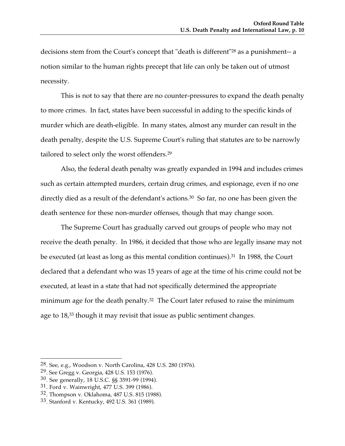decisions stem from the Court's concept that "death is different"28 as a punishment-- a notion similar to the human rights precept that life can only be taken out of utmost necessity.

This is not to say that there are no counter-pressures to expand the death penalty to more crimes. In fact, states have been successful in adding to the specific kinds of murder which are death-eligible. In many states, almost any murder can result in the death penalty, despite the U.S. Supreme Court's ruling that statutes are to be narrowly tailored to select only the worst offenders.29

Also, the federal death penalty was greatly expanded in 1994 and includes crimes such as certain attempted murders, certain drug crimes, and espionage, even if no one directly died as a result of the defendant's actions.<sup>30</sup> So far, no one has been given the death sentence for these non-murder offenses, though that may change soon.

The Supreme Court has gradually carved out groups of people who may not receive the death penalty. In 1986, it decided that those who are legally insane may not be executed (at least as long as this mental condition continues).<sup>31</sup> In 1988, the Court declared that a defendant who was 15 years of age at the time of his crime could not be executed, at least in a state that had not specifically determined the appropriate minimum age for the death penalty.<sup>32</sup> The Court later refused to raise the minimum age to 18,<sup>33</sup> though it may revisit that issue as public sentiment changes.

<sup>28.</sup> See, e.g., Woodson v. North Carolina, 428 U.S. 280 (1976).

<sup>29.</sup> See Gregg v. Georgia, 428 U.S. 153 (1976).

<sup>30.</sup> See generally, 18 U.S.C. §§ 3591-99 (1994).

<sup>31.</sup> Ford v. Wainwright, 477 U.S. 399 (1986).

<sup>32.</sup> Thompson v. Oklahoma, 487 U.S. 815 (1988).

<sup>33.</sup> Stanford v. Kentucky, 492 U.S. 361 (1989).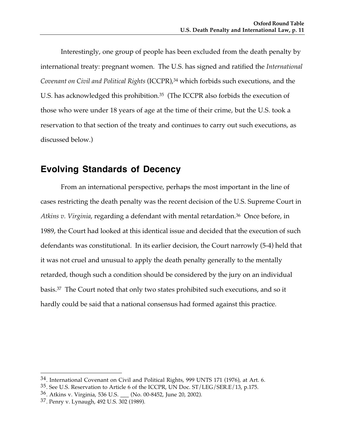Interestingly, one group of people has been excluded from the death penalty by international treaty: pregnant women. The U.S. has signed and ratified the *International Covenant on Civil and Political Rights* (ICCPR),34 which forbids such executions, and the U.S. has acknowledged this prohibition.<sup>35</sup> (The ICCPR also forbids the execution of those who were under 18 years of age at the time of their crime, but the U.S. took a reservation to that section of the treaty and continues to carry out such executions, as discussed below.)

### **Evolving Standards of Decency**

From an international perspective, perhaps the most important in the line of cases restricting the death penalty was the recent decision of the U.S. Supreme Court in *Atkins v. Virginia*, regarding a defendant with mental retardation.36 Once before, in 1989, the Court had looked at this identical issue and decided that the execution of such defendants was constitutional. In its earlier decision, the Court narrowly (5-4) held that it was not cruel and unusual to apply the death penalty generally to the mentally retarded, though such a condition should be considered by the jury on an individual basis.37 The Court noted that only two states prohibited such executions, and so it hardly could be said that a national consensus had formed against this practice.

<sup>34.</sup> International Covenant on Civil and Political Rights, 999 UNTS 171 (1976), at Art. 6.

<sup>35.</sup> See U.S. Reservation to Article 6 of the ICCPR, UN Doc. ST/LEG/SER.E/13, p.175.

<sup>36.</sup> Atkins v. Virginia, 536 U.S. \_\_\_ (No. 00-8452, June 20, 2002).

<sup>37.</sup> Penry v. Lynaugh, 492 U.S. 302 (1989).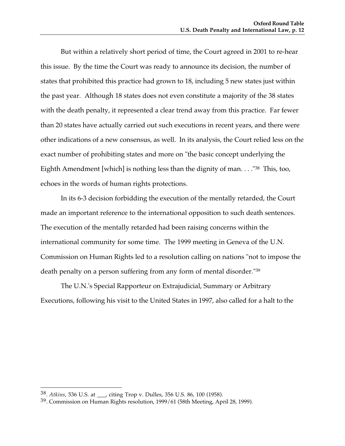But within a relatively short period of time, the Court agreed in 2001 to re-hear this issue. By the time the Court was ready to announce its decision, the number of states that prohibited this practice had grown to 18, including 5 new states just within the past year. Although 18 states does not even constitute a majority of the 38 states with the death penalty, it represented a clear trend away from this practice. Far fewer than 20 states have actually carried out such executions in recent years, and there were other indications of a new consensus, as well. In its analysis, the Court relied less on the exact number of prohibiting states and more on "the basic concept underlying the Eighth Amendment [which] is nothing less than the dignity of man.  $\ldots$  "38 This, too, echoes in the words of human rights protections.

In its 6-3 decision forbidding the execution of the mentally retarded, the Court made an important reference to the international opposition to such death sentences. The execution of the mentally retarded had been raising concerns within the international community for some time. The 1999 meeting in Geneva of the U.N. Commission on Human Rights led to a resolution calling on nations "not to impose the death penalty on a person suffering from any form of mental disorder."39

The U.N.'s Special Rapporteur on Extrajudicial, Summary or Arbitrary Executions, following his visit to the United States in 1997, also called for a halt to the

<sup>38.</sup> *Atkins*, 536 U.S. at \_\_\_, citing Trop v. Dulles, 356 U.S. 86, 100 (1958).

<sup>39.</sup> Commission on Human Rights resolution, 1999/61 (58th Meeting, April 28, 1999).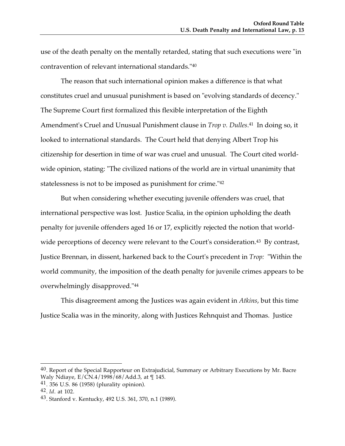use of the death penalty on the mentally retarded, stating that such executions were "in contravention of relevant international standards."40

The reason that such international opinion makes a difference is that what constitutes cruel and unusual punishment is based on "evolving standards of decency." The Supreme Court first formalized this flexible interpretation of the Eighth Amendment's Cruel and Unusual Punishment clause in *Trop v. Dulles*.41 In doing so, it looked to international standards. The Court held that denying Albert Trop his citizenship for desertion in time of war was cruel and unusual. The Court cited worldwide opinion, stating: "The civilized nations of the world are in virtual unanimity that statelessness is not to be imposed as punishment for crime."42

But when considering whether executing juvenile offenders was cruel, that international perspective was lost. Justice Scalia, in the opinion upholding the death penalty for juvenile offenders aged 16 or 17, explicitly rejected the notion that worldwide perceptions of decency were relevant to the Court's consideration.<sup>43</sup> By contrast, Justice Brennan, in dissent, harkened back to the Court's precedent in *Trop:* "Within the world community, the imposition of the death penalty for juvenile crimes appears to be overwhelmingly disapproved."44

This disagreement among the Justices was again evident in *Atkins*, but this time Justice Scalia was in the minority, along with Justices Rehnquist and Thomas. Justice

 $40$ . Report of the Special Rapporteur on Extrajudicial, Summary or Arbitrary Executions by Mr. Bacre Waly Ndiaye,  $E/\overline{CN}.4/1998/68/Add.3$ , at  $\P$ 145.

<sup>41. 356</sup> U.S. 86 (1958) (plurality opinion).

<sup>42.</sup> *Id*. at 102.

<sup>43.</sup> Stanford v. Kentucky, 492 U.S. 361, 370, n.1 (1989).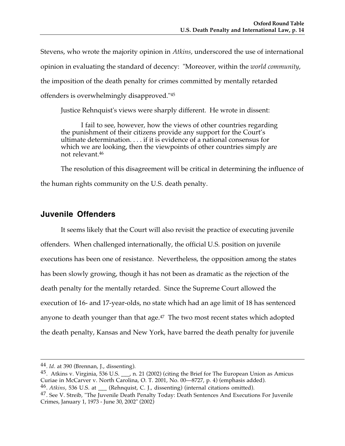Stevens, who wrote the majority opinion in *Atkins*, underscored the use of international opinion in evaluating the standard of decency: "Moreover, within the *world community*, the imposition of the death penalty for crimes committed by mentally retarded offenders is overwhelmingly disapproved."45

Justice Rehnquist's views were sharply different. He wrote in dissent:

I fail to see, however, how the views of other countries regarding the punishment of their citizens provide any support for the Court's ultimate determination. . . . if it is evidence of a national consensus for which we are looking, then the viewpoints of other countries simply are not relevant.46

The resolution of this disagreement will be critical in determining the influence of the human rights community on the U.S. death penalty.

### **Juvenile Offenders**

It seems likely that the Court will also revisit the practice of executing juvenile offenders. When challenged internationally, the official U.S. position on juvenile executions has been one of resistance. Nevertheless, the opposition among the states has been slowly growing, though it has not been as dramatic as the rejection of the death penalty for the mentally retarded. Since the Supreme Court allowed the execution of 16- and 17-year-olds, no state which had an age limit of 18 has sentenced anyone to death younger than that age.<sup>47</sup> The two most recent states which adopted the death penalty, Kansas and New York, have barred the death penalty for juvenile

 <sup>44.</sup> *Id*. at 390 (Brennan, J., dissenting).

<sup>45.</sup> Atkins v. Virginia, 536 U.S. \_\_\_, n. 21 (2002) (citing the Brief for The European Union as Amicus Curiae in McCarver v. North Carolina, O. T. 2001, No. 00—8727, p. 4) (emphasis added). 46. *Atkins*, 536 U.S. at \_\_\_ (Rehnquist, C. J., dissenting) (internal citations omitted).

<sup>&</sup>lt;sup>47</sup>. See V. Streib, "The Juvenile Death Penalty Today: Death Sentences And Executions For Juvenile Crimes, January 1, 1973 - June 30, 2002" (2002)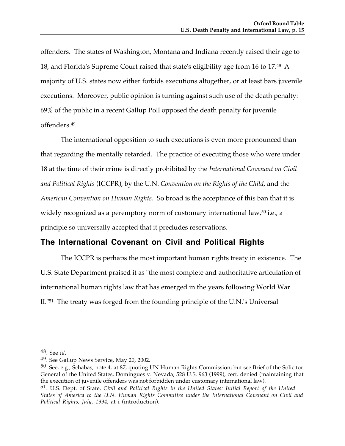offenders. The states of Washington, Montana and Indiana recently raised their age to 18, and Florida's Supreme Court raised that state's eligibility age from 16 to 17.48 A majority of U.S. states now either forbids executions altogether, or at least bars juvenile executions. Moreover, public opinion is turning against such use of the death penalty: 69% of the public in a recent Gallup Poll opposed the death penalty for juvenile offenders.49

The international opposition to such executions is even more pronounced than that regarding the mentally retarded. The practice of executing those who were under 18 at the time of their crime is directly prohibited by the *International Covenant on Civil and Political Rights* (ICCPR), by the U.N. *Convention on the Rights of the Child*, and the *American Convention on Human Rights*. So broad is the acceptance of this ban that it is widely recognized as a peremptory norm of customary international law,<sup>50</sup> i.e., a principle so universally accepted that it precludes reservations.

### **The International Covenant on Civil and Political Rights**

The ICCPR is perhaps the most important human rights treaty in existence. The U.S. State Department praised it as "the most complete and authoritative articulation of international human rights law that has emerged in the years following World War II."51 The treaty was forged from the founding principle of the U.N.'s Universal

<sup>48.</sup> See *id*.

<sup>49.</sup> See Gallup News Service, May 20, 2002.

<sup>50.</sup> See, e.g., Schabas, note 4, at 87, quoting UN Human Rights Commission; but see Brief of the Solicitor General of the United States, Domingues v. Nevada, 528 U.S. 963 (1999), cert. denied (maintaining that the execution of juvenile offenders was not forbidden under customary international law).

<sup>51.</sup> U.S. Dept. of State, *Civil and Political Rights in the United States: Initial Report of the United States of America to the U.N. Human Rights Committee under the International Covenant on Civil and Political Rights, July, 1994,* at i (introduction).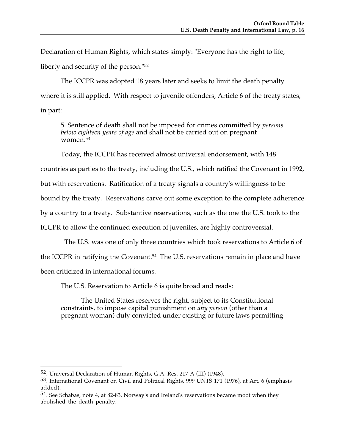Declaration of Human Rights, which states simply: "Everyone has the right to life, liberty and security of the person."52

The ICCPR was adopted 18 years later and seeks to limit the death penalty where it is still applied. With respect to juvenile offenders, Article 6 of the treaty states, in part:

5. Sentence of death shall not be imposed for crimes committed by *persons below eighteen years of age* and shall not be carried out on pregnant women.53

Today, the ICCPR has received almost universal endorsement, with 148

countries as parties to the treaty, including the U.S., which ratified the Covenant in 1992,

but with reservations. Ratification of a treaty signals a country's willingness to be

bound by the treaty. Reservations carve out some exception to the complete adherence

by a country to a treaty. Substantive reservations, such as the one the U.S. took to the

ICCPR to allow the continued execution of juveniles, are highly controversial.

The U.S. was one of only three countries which took reservations to Article 6 of

the ICCPR in ratifying the Covenant.<sup>54</sup> The U.S. reservations remain in place and have

been criticized in international forums.

The U.S. Reservation to Article 6 is quite broad and reads:

The United States reserves the right, subject to its Constitutional constraints, to impose capital punishment on *any person* (other than a pregnant woman) duly convicted under existing or future laws permitting

 $\overline{a}$ 52. Universal Declaration of Human Rights, G.A. Res. 217 A (III) (1948).

<sup>53.</sup> International Covenant on Civil and Political Rights, 999 UNTS 171 (1976), at Art. 6 (emphasis added).

<sup>54.</sup> See Schabas, note 4, at 82-83. Norway's and Ireland's reservations became moot when they abolished the death penalty.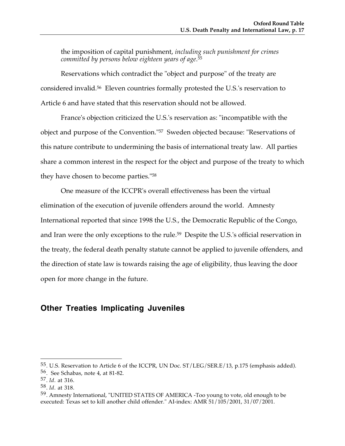the imposition of capital punishment, *including such punishment for crimes committed by persons below eighteen years of age*.55

Reservations which contradict the "object and purpose" of the treaty are considered invalid.56 Eleven countries formally protested the U.S.'s reservation to Article 6 and have stated that this reservation should not be allowed.

France's objection criticized the U.S.'s reservation as: "incompatible with the object and purpose of the Convention."57 Sweden objected because: "Reservations of this nature contribute to undermining the basis of international treaty law. All parties share a common interest in the respect for the object and purpose of the treaty to which they have chosen to become parties."58

One measure of the ICCPR's overall effectiveness has been the virtual elimination of the execution of juvenile offenders around the world. Amnesty International reported that since 1998 the U.S., the Democratic Republic of the Congo, and Iran were the only exceptions to the rule.59 Despite the U.S.'s official reservation in the treaty, the federal death penalty statute cannot be applied to juvenile offenders, and the direction of state law is towards raising the age of eligibility, thus leaving the door open for more change in the future.

### **Other Treaties Implicating Juveniles**

<sup>55.</sup> U.S. Reservation to Article 6 of the ICCPR, UN Doc. ST/LEG/SER.E/13, p.175 (emphasis added). 56. See Schabas, note 4, at 81-82.

<sup>57.</sup> *Id*. at 316.

<sup>58.</sup> *Id*. at 318.

<sup>59.</sup> Amnesty International, "UNITED STATES OF AMERICA -Too young to vote, old enough to be executed: Texas set to kill another child offender." AI-index: AMR 51/105/2001, 31/07/2001.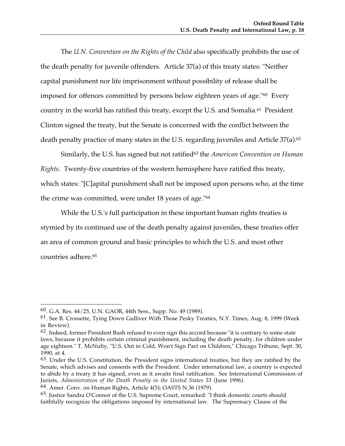The *U.N. Convention on the Rights of the Child* also specifically prohibits the use of the death penalty for juvenile offenders. Article 37(a) of this treaty states: "Neither capital punishment nor life imprisonment without possibility of release shall be imposed for offences committed by persons below eighteen years of age."60 Every country in the world has ratified this treaty, except the U.S. and Somalia.61 President Clinton signed the treaty, but the Senate is concerned with the conflict between the death penalty practice of many states in the U.S. regarding juveniles and Article 37(a).<sup>62</sup>

Similarly, the U.S. has signed but not ratified63 the *American Convention on Human Rights*. Twenty-five countries of the western hemisphere have ratified this treaty, which states: "[C]apital punishment shall not be imposed upon persons who, at the time the crime was committed, were under 18 years of age."64

While the U.S.'s full participation in these important human rights treaties is stymied by its continued use of the death penalty against juveniles, these treaties offer an area of common ground and basic principles to which the U.S. and most other countries adhere.65

<sup>60.</sup> G.A. Res. 44/25, U.N. GAOR, 44th Sess., Supp. No. 49 (1989).

<sup>61.</sup> See B. Crossette, Tying Down Gulliver With Those Pesky Treaties, N.Y. Times, Aug. 8, 1999 (Week in Review).

 $62$ . Indeed, former President Bush refused to even sign this accord because "it is contrary to some state laws, because it prohibits certain criminal punishment, including the death penalty, for children under age eighteen." T. McNulty, "U.S. Out in Cold, Won't Sign Pact on Children," Chicago Tribune, Sept. 30, 1990, at 4.

<sup>63.</sup> Under the U.S. Constitution, the President signs international treaties, but they are ratified by the Senate, which advises and consents with the President. Under international law, a country is expected to abide by a treaty it has signed, even as it awaits final ratification. See International Commission of Jurists, *Administration of the Death Penalty in the United States* 33 (June 1996).

<sup>64.</sup> Amer. Conv. on Human Rights, Article 4(5); OASTS N.36 (1979).

<sup>65.</sup> Justice Sandra O'Connor of the U.S. Supreme Court, remarked: "I think domestic courts should faithfully recognize the obligations imposed by international law. The Supremacy Clause of the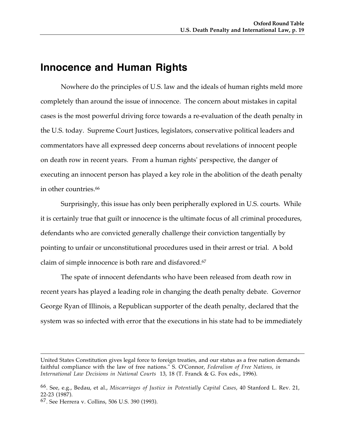## **Innocence and Human Rights**

Nowhere do the principles of U.S. law and the ideals of human rights meld more completely than around the issue of innocence. The concern about mistakes in capital cases is the most powerful driving force towards a re-evaluation of the death penalty in the U.S. today. Supreme Court Justices, legislators, conservative political leaders and commentators have all expressed deep concerns about revelations of innocent people on death row in recent years. From a human rights' perspective, the danger of executing an innocent person has played a key role in the abolition of the death penalty in other countries.<sup>66</sup>

Surprisingly, this issue has only been peripherally explored in U.S. courts. While it is certainly true that guilt or innocence is the ultimate focus of all criminal procedures, defendants who are convicted generally challenge their conviction tangentially by pointing to unfair or unconstitutional procedures used in their arrest or trial. A bold claim of simple innocence is both rare and disfavored.67

The spate of innocent defendants who have been released from death row in recent years has played a leading role in changing the death penalty debate. Governor George Ryan of Illinois, a Republican supporter of the death penalty, declared that the system was so infected with error that the executions in his state had to be immediately

United States Constitution gives legal force to foreign treaties, and our status as a free nation demands faithful compliance with the law of free nations." S. O'Connor, *Federalism of Free Nations, in International Law Decisions in National Courts* 13, 18 (T. Franck & G. Fox eds., 1996).

<sup>66.</sup> See, e.g., Bedau, et al., *Miscarriages of Justice in Potentially Capital Cases*, 40 Stanford L. Rev. 21, 22-23 (1987).

<sup>67.</sup> See Herrera v. Collins, 506 U.S. 390 (1993).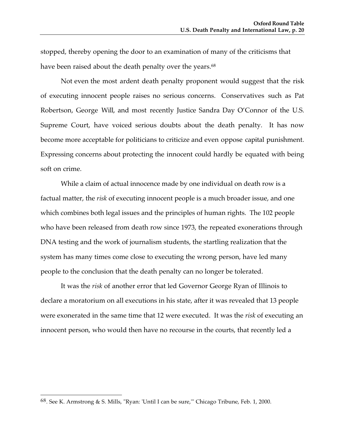stopped, thereby opening the door to an examination of many of the criticisms that have been raised about the death penalty over the years.<sup>68</sup>

Not even the most ardent death penalty proponent would suggest that the risk of executing innocent people raises no serious concerns. Conservatives such as Pat Robertson, George Will, and most recently Justice Sandra Day O'Connor of the U.S. Supreme Court, have voiced serious doubts about the death penalty. It has now become more acceptable for politicians to criticize and even oppose capital punishment. Expressing concerns about protecting the innocent could hardly be equated with being soft on crime.

While a claim of actual innocence made by one individual on death row is a factual matter, the *risk* of executing innocent people is a much broader issue, and one which combines both legal issues and the principles of human rights. The 102 people who have been released from death row since 1973, the repeated exonerations through DNA testing and the work of journalism students, the startling realization that the system has many times come close to executing the wrong person, have led many people to the conclusion that the death penalty can no longer be tolerated.

It was the *risk* of another error that led Governor George Ryan of Illinois to declare a moratorium on all executions in his state, after it was revealed that 13 people were exonerated in the same time that 12 were executed. It was the *risk* of executing an innocent person, who would then have no recourse in the courts, that recently led a

-

<sup>68.</sup> See K. Armstrong & S. Mills, "Ryan: 'Until I can be sure,'" Chicago Tribune, Feb. 1, 2000.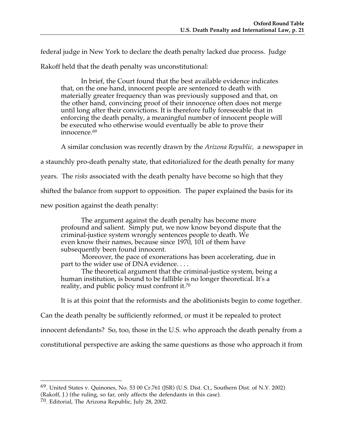federal judge in New York to declare the death penalty lacked due process. Judge

Rakoff held that the death penalty was unconstitutional:

In brief, the Court found that the best available evidence indicates that, on the one hand, innocent people are sentenced to death with materially greater frequency than was previously supposed and that, on the other hand, convincing proof of their innocence often does not merge until long after their convictions. It is therefore fully foreseeable that in enforcing the death penalty, a meaningful number of innocent people will be executed who otherwise would eventually be able to prove their innocence.<sup>69</sup>

A similar conclusion was recently drawn by the *Arizona Republic,* a newspaper in

a staunchly pro-death penalty state, that editorialized for the death penalty for many

years. The *risks* associated with the death penalty have become so high that they

shifted the balance from support to opposition. The paper explained the basis for its

new position against the death penalty:

The argument against the death penalty has become more profound and salient. Simply put, we now know beyond dispute that the criminal-justice system wrongly sentences people to death. We even know their names, because since 1970, 101 of them have subsequently been found innocent.

Moreover, the pace of exonerations has been accelerating, due in part to the wider use of DNA evidence....

 The theoretical argument that the criminal-justice system, being a human institution, is bound to be fallible is no longer theoretical. It's a reality, and public policy must confront it.70

It is at this point that the reformists and the abolitionists begin to come together.

Can the death penalty be sufficiently reformed, or must it be repealed to protect

innocent defendants? So, too, those in the U.S. who approach the death penalty from a

constitutional perspective are asking the same questions as those who approach it from

<sup>69.</sup> United States v. Quinones, No. 53 00 Cr.761 (JSR) (U.S. Dist. Ct., Southern Dist. of N.Y. 2002) (Rakoff, J.) (the ruling, so far, only affects the defendants in this case).

<sup>70.</sup> Editorial, The Arizona Republic, July 28, 2002.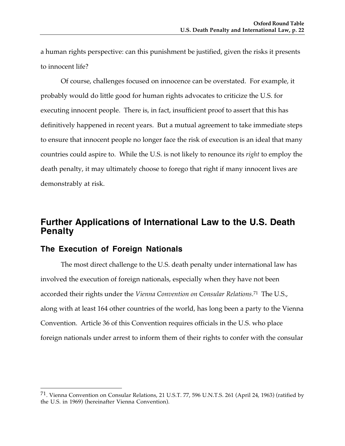a human rights perspective: can this punishment be justified, given the risks it presents to innocent life?

Of course, challenges focused on innocence can be overstated. For example, it probably would do little good for human rights advocates to criticize the U.S. for executing innocent people. There is, in fact, insufficient proof to assert that this has definitively happened in recent years. But a mutual agreement to take immediate steps to ensure that innocent people no longer face the risk of execution is an ideal that many countries could aspire to. While the U.S. is not likely to renounce its *right* to employ the death penalty, it may ultimately choose to forego that right if many innocent lives are demonstrably at risk.

### **Further Applications of International Law to the U.S. Death Penalty**

#### **The Execution of Foreign Nationals**

-

The most direct challenge to the U.S. death penalty under international law has involved the execution of foreign nationals, especially when they have not been accorded their rights under the *Vienna Convention on Consular Relations*.71 The U.S., along with at least 164 other countries of the world, has long been a party to the Vienna Convention. Article 36 of this Convention requires officials in the U.S. who place foreign nationals under arrest to inform them of their rights to confer with the consular

<sup>71.</sup> Vienna Convention on Consular Relations, 21 U.S.T. 77, 596 U.N.T.S. 261 (April 24, 1963) (ratified by the U.S. in 1969) (hereinafter Vienna Convention).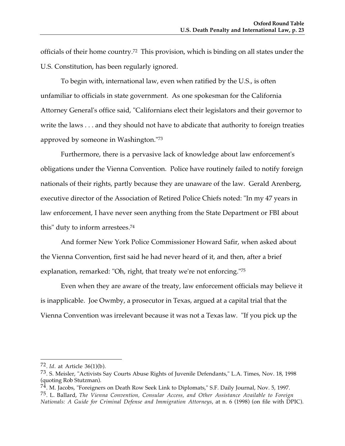officials of their home country.72 This provision, which is binding on all states under the U.S. Constitution, has been regularly ignored.

To begin with, international law, even when ratified by the U.S., is often unfamiliar to officials in state government. As one spokesman for the California Attorney General's office said, "Californians elect their legislators and their governor to write the laws . . . and they should not have to abdicate that authority to foreign treaties approved by someone in Washington."73

Furthermore, there is a pervasive lack of knowledge about law enforcement's obligations under the Vienna Convention. Police have routinely failed to notify foreign nationals of their rights, partly because they are unaware of the law. Gerald Arenberg, executive director of the Association of Retired Police Chiefs noted: "In my 47 years in law enforcement, I have never seen anything from the State Department or FBI about this" duty to inform arrestees.74

And former New York Police Commissioner Howard Safir, when asked about the Vienna Convention, first said he had never heard of it, and then, after a brief explanation, remarked: "Oh, right, that treaty we're not enforcing."75

Even when they are aware of the treaty, law enforcement officials may believe it is inapplicable. Joe Owmby, a prosecutor in Texas, argued at a capital trial that the Vienna Convention was irrelevant because it was not a Texas law. "If you pick up the

<sup>72.</sup> *Id*. at Article 36(1)(b).

<sup>73.</sup> S. Meisler, "Activists Say Courts Abuse Rights of Juvenile Defendants," L.A. Times, Nov. 18, 1998 (quoting Rob Stutzman).

<sup>&</sup>lt;sup>74</sup>. M. Jacobs, "Foreigners on Death Row Seek Link to Diplomats," S.F. Daily Journal, Nov. 5, 1997. 75. L. Ballard, *The Vienna Convention, Consular Access, and Other Assistance Available to Foreign Nationals: A Guide for Criminal Defense and Immigration Attorneys*, at n. 6 (1998) (on file with DPIC).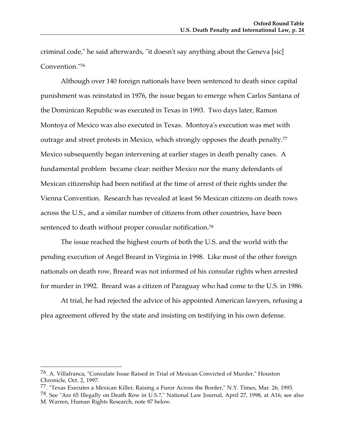criminal code," he said afterwards, "it doesn't say anything about the Geneva [sic] Convention."76

Although over 140 foreign nationals have been sentenced to death since capital punishment was reinstated in 1976, the issue began to emerge when Carlos Santana of the Dominican Republic was executed in Texas in 1993. Two days later, Ramon Montoya of Mexico was also executed in Texas. Montoya's execution was met with outrage and street protests in Mexico, which strongly opposes the death penalty.<sup>77</sup> Mexico subsequently began intervening at earlier stages in death penalty cases. A fundamental problem became clear: neither Mexico nor the many defendants of Mexican citizenship had been notified at the time of arrest of their rights under the Vienna Convention. Research has revealed at least 56 Mexican citizens on death rows across the U.S., and a similar number of citizens from other countries, have been sentenced to death without proper consular notification.<sup>78</sup>

The issue reached the highest courts of both the U.S. and the world with the pending execution of Angel Breard in Virginia in 1998. Like most of the other foreign nationals on death row, Breard was not informed of his consular rights when arrested for murder in 1992. Breard was a citizen of Paraguay who had come to the U.S. in 1986.

At trial, he had rejected the advice of his appointed American lawyers, refusing a plea agreement offered by the state and insisting on testifying in his own defense.

<sup>76.</sup> A. Villafranca, "Consulate Issue Raised in Trial of Mexican Convicted of Murder," Houston Chronicle, Oct. 2, 1997.

<sup>&</sup>lt;sup>77</sup>. "Texas Executes a Mexican Killer, Raising a Furor Across the Border," N.Y. Times, Mar. 26, 1993.

<sup>78.</sup> See "Are 65 Illegally on Death Row in U.S.?," National Law Journal, April 27, 1998, at A16; see also M. Warren, Human Rights Research, note 87 below.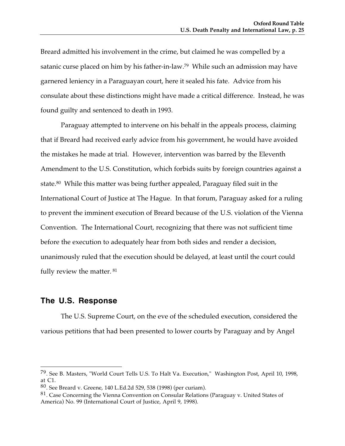Breard admitted his involvement in the crime, but claimed he was compelled by a satanic curse placed on him by his father-in-law.79 While such an admission may have garnered leniency in a Paraguayan court, here it sealed his fate. Advice from his consulate about these distinctions might have made a critical difference. Instead, he was found guilty and sentenced to death in 1993.

Paraguay attempted to intervene on his behalf in the appeals process, claiming that if Breard had received early advice from his government, he would have avoided the mistakes he made at trial. However, intervention was barred by the Eleventh Amendment to the U.S. Constitution, which forbids suits by foreign countries against a state.80 While this matter was being further appealed, Paraguay filed suit in the International Court of Justice at The Hague. In that forum, Paraguay asked for a ruling to prevent the imminent execution of Breard because of the U.S. violation of the Vienna Convention. The International Court, recognizing that there was not sufficient time before the execution to adequately hear from both sides and render a decision, unanimously ruled that the execution should be delayed, at least until the court could fully review the matter. 81

#### **The U.S. Response**

 $\overline{a}$ 

The U.S. Supreme Court, on the eve of the scheduled execution, considered the various petitions that had been presented to lower courts by Paraguay and by Angel

<sup>79.</sup> See B. Masters, "World Court Tells U.S. To Halt Va. Execution," Washington Post, April 10, 1998, at C1.

<sup>80.</sup> See Breard v. Greene, 140 L.Ed.2d 529, 538 (1998) (per curiam).

<sup>81.</sup> Case Concerning the Vienna Convention on Consular Relations (Paraguay v. United States of America) No. 99 (International Court of Justice, April 9, 1998).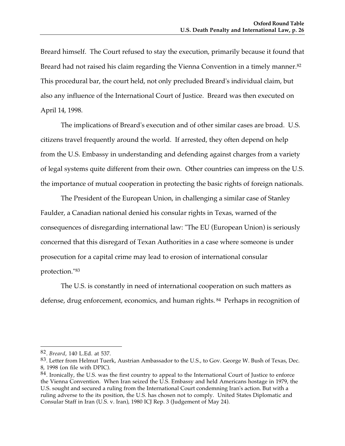Breard himself. The Court refused to stay the execution, primarily because it found that Breard had not raised his claim regarding the Vienna Convention in a timely manner.82 This procedural bar, the court held, not only precluded Breard's individual claim, but also any influence of the International Court of Justice. Breard was then executed on April 14, 1998.

The implications of Breard's execution and of other similar cases are broad. U.S. citizens travel frequently around the world. If arrested, they often depend on help from the U.S. Embassy in understanding and defending against charges from a variety of legal systems quite different from their own. Other countries can impress on the U.S. the importance of mutual cooperation in protecting the basic rights of foreign nationals.

The President of the European Union, in challenging a similar case of Stanley Faulder, a Canadian national denied his consular rights in Texas, warned of the consequences of disregarding international law: "The EU (European Union) is seriously concerned that this disregard of Texan Authorities in a case where someone is under prosecution for a capital crime may lead to erosion of international consular protection."83

The U.S. is constantly in need of international cooperation on such matters as defense, drug enforcement, economics, and human rights. 84 Perhaps in recognition of

<sup>82.</sup> *Breard*, 140 L.Ed. at 537.

<sup>83.</sup> Letter from Helmut Tuerk, Austrian Ambassador to the U.S., to Gov. George W. Bush of Texas, Dec. 8, 1998 (on file with DPIC).

<sup>84.</sup> Ironically, the U.S. was the first country to appeal to the International Court of Justice to enforce the Vienna Convention. When Iran seized the U.S. Embassy and held Americans hostage in 1979, the U.S. sought and secured a ruling from the International Court condemning Iran's action. But with a ruling adverse to the its position, the U.S. has chosen not to comply. United States Diplomatic and Consular Staff in Iran (U.S. v. Iran), 1980 ICJ Rep. 3 (Judgement of May 24).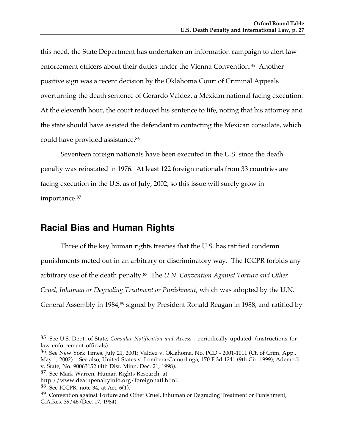this need, the State Department has undertaken an information campaign to alert law enforcement officers about their duties under the Vienna Convention.<sup>85</sup> Another positive sign was a recent decision by the Oklahoma Court of Criminal Appeals overturning the death sentence of Gerardo Valdez, a Mexican national facing execution. At the eleventh hour, the court reduced his sentence to life, noting that his attorney and the state should have assisted the defendant in contacting the Mexican consulate, which could have provided assistance.86

Seventeen foreign nationals have been executed in the U.S. since the death penalty was reinstated in 1976. At least 122 foreign nationals from 33 countries are facing execution in the U.S. as of July, 2002, so this issue will surely grow in importance.87

## **Racial Bias and Human Rights**

Three of the key human rights treaties that the U.S. has ratified condemn punishments meted out in an arbitrary or discriminatory way. The ICCPR forbids any arbitrary use of the death penalty.88 The *U.N. Convention Against Torture and Other Cruel, Inhuman or Degrading Treatment or Punishment*, which was adopted by the U.N. General Assembly in 1984,<sup>89</sup> signed by President Ronald Reagan in 1988, and ratified by

<sup>85.</sup> See U.S. Dept. of State, *Consular Notification and Access* , periodically updated, (instructions for law enforcement officials).

<sup>86.</sup> See New York Times, July 21, 2001; Valdez v. Oklahoma, No. PCD - 2001-1011 (Ct. of Crim. App., May 1, 2002). See also, United States v. Lombera-Camorlinga, 170 F.3d 1241 (9th Cir. 1999); Ademodi v. State, No. 90063152 (4th Dist. Minn. Dec. 21, 1998).

<sup>87.</sup> See Mark Warren, Human Rights Research, at

http://www.deathpenaltyinfo.org/foreignnatl.html.

<sup>88.</sup> See ICCPR, note 34, at Art. 6(1).

<sup>89.</sup> Convention against Torture and Other Cruel, Inhuman or Degrading Treatment or Punishment, G.A.Res. 39/46 (Dec. 17, 1984).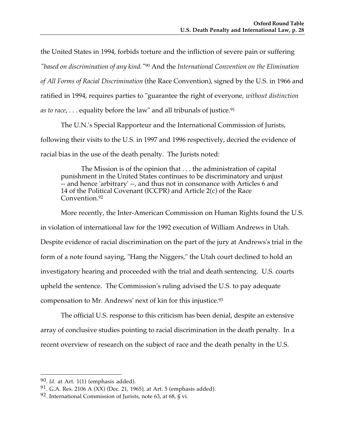the United States in 1994, forbids torture and the infliction of severe pain or suffering

*"based on discrimination of any kind."*90 And the *International Convention on the Elimination*

*of All Forms of Racial Discrimination* (the Race Convention), signed by the U.S. in 1966 and

ratified in 1994, requires parties to "guarantee the right of everyone, *without distinction*

*as to race,* . . . equality before the law" and all tribunals of justice.<sup>91</sup>

The U.N.'s Special Rapporteur and the International Commission of Jurists, following their visits to the U.S. in 1997 and 1996 respectively, decried the evidence of racial bias in the use of the death penalty. The Jurists noted:

The Mission is of the opinion that . . . the administration of capital punishment in the United States continues to be discriminatory and unjust -- and hence 'arbitrary' --, and thus not in consonance with Articles 6 and 14 of the Political Covenant (ICCPR) and Article 2(c) of the Race Convention.92

More recently, the Inter-American Commission on Human Rights found the U.S. in violation of international law for the 1992 execution of William Andrews in Utah. Despite evidence of racial discrimination on the part of the jury at Andrews's trial in the form of a note found saying, "Hang the Niggers," the Utah court declined to hold an investigatory hearing and proceeded with the trial and death sentencing. U.S. courts upheld the sentence. The Commission's ruling advised the U.S. to pay adequate compensation to Mr. Andrews' next of kin for this injustice.93

The official U.S. response to this criticism has been denial, despite an extensive array of conclusive studies pointing to racial discrimination in the death penalty. In a recent overview of research on the subject of race and the death penalty in the U.S.

 $\overline{a}$ 90. *Id*. at Art. 1(1) (emphasis added).

<sup>91.</sup> G.A. Res. 2106 A (XX) (Dec. 21, 1965), at Art. 5 (emphasis added).

<sup>&</sup>lt;sup>92</sup>. International Commission of Jurists, note 63, at 68, § vi.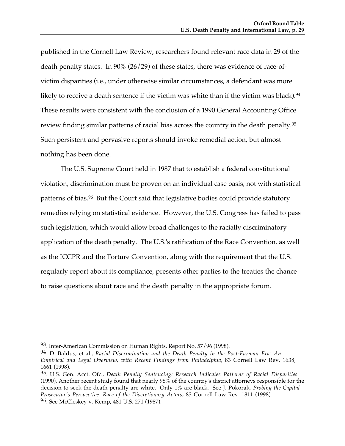published in the Cornell Law Review, researchers found relevant race data in 29 of the death penalty states. In 90% (26/29) of these states, there was evidence of race-ofvictim disparities (i.e., under otherwise similar circumstances, a defendant was more likely to receive a death sentence if the victim was white than if the victim was black).<sup>94</sup> These results were consistent with the conclusion of a 1990 General Accounting Office review finding similar patterns of racial bias across the country in the death penalty.95 Such persistent and pervasive reports should invoke remedial action, but almost nothing has been done.

The U.S. Supreme Court held in 1987 that to establish a federal constitutional violation, discrimination must be proven on an individual case basis, not with statistical patterns of bias.<sup>96</sup> But the Court said that legislative bodies could provide statutory remedies relying on statistical evidence. However, the U.S. Congress has failed to pass such legislation, which would allow broad challenges to the racially discriminatory application of the death penalty. The U.S.'s ratification of the Race Convention, as well as the ICCPR and the Torture Convention, along with the requirement that the U.S. regularly report about its compliance, presents other parties to the treaties the chance to raise questions about race and the death penalty in the appropriate forum.

 <sup>93.</sup> Inter-American Commission on Human Rights, Report No. 57/96 (1998).

<sup>94.</sup> D. Baldus, et al., *Racial Discrimination and the Death Penalty in the Post-Furman Era: An Empirical and Legal Overview, with Recent Findings from Philadelphia*, 83 Cornell Law Rev. 1638, 1661 (1998).

<sup>95.</sup> U.S. Gen. Acct. Ofc., *Death Penalty Sentencing: Research Indicates Patterns of Racial Disparities* (1990). Another recent study found that nearly 98% of the country's district attorneys responsible for the decision to seek the death penalty are white. Only 1% are black. See J. Pokorak*, Probing the Capital Prosecutor's Perspective: Race of the Discretionary Actors*, 83 Cornell Law Rev. 1811 (1998). 96. See McCleskey v. Kemp, 481 U.S. 271 (1987).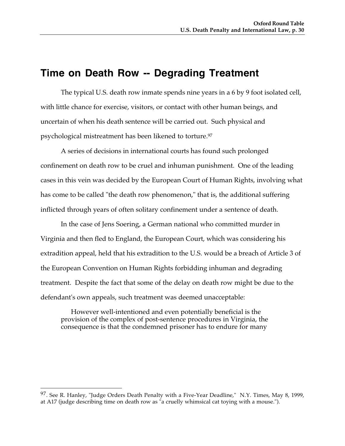## **Time on Death Row -- Degrading Treatment**

The typical U.S. death row inmate spends nine years in a 6 by 9 foot isolated cell, with little chance for exercise, visitors, or contact with other human beings, and uncertain of when his death sentence will be carried out. Such physical and psychological mistreatment has been likened to torture.97

A series of decisions in international courts has found such prolonged confinement on death row to be cruel and inhuman punishment. One of the leading cases in this vein was decided by the European Court of Human Rights, involving what has come to be called "the death row phenomenon," that is, the additional suffering inflicted through years of often solitary confinement under a sentence of death.

In the case of Jens Soering, a German national who committed murder in Virginia and then fled to England, the European Court, which was considering his extradition appeal, held that his extradition to the U.S. would be a breach of Article 3 of the European Convention on Human Rights forbidding inhuman and degrading treatment. Despite the fact that some of the delay on death row might be due to the defendant's own appeals, such treatment was deemed unacceptable:

However well-intentioned and even potentially beneficial is the provision of the complex of post-sentence procedures in Virginia, the consequence is that the condemned prisoner has to endure for many

 $97.$  See R. Hanley, "Judge Orders Death Penalty with a Five-Year Deadline," N.Y. Times, May 8, 1999, at A17 (judge describing time on death row as "a cruelly whimsical cat toying with a mouse.").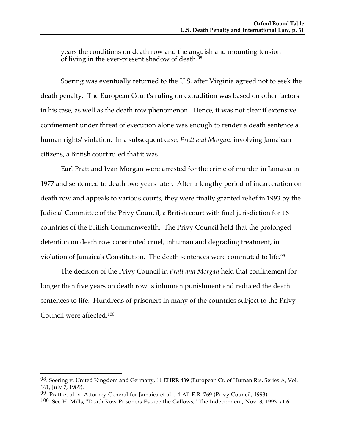years the conditions on death row and the anguish and mounting tension of living in the ever-present shadow of death. $98$ 

Soering was eventually returned to the U.S. after Virginia agreed not to seek the death penalty. The European Court's ruling on extradition was based on other factors in his case, as well as the death row phenomenon. Hence, it was not clear if extensive confinement under threat of execution alone was enough to render a death sentence a human rights' violation. In a subsequent case, *Pratt and Morgan,* involving Jamaican citizens, a British court ruled that it was.

Earl Pratt and Ivan Morgan were arrested for the crime of murder in Jamaica in 1977 and sentenced to death two years later. After a lengthy period of incarceration on death row and appeals to various courts, they were finally granted relief in 1993 by the Judicial Committee of the Privy Council, a British court with final jurisdiction for 16 countries of the British Commonwealth. The Privy Council held that the prolonged detention on death row constituted cruel, inhuman and degrading treatment, in violation of Jamaica's Constitution. The death sentences were commuted to life.99

The decision of the Privy Council in *Pratt and Morgan* held that confinement for longer than five years on death row is inhuman punishment and reduced the death sentences to life. Hundreds of prisoners in many of the countries subject to the Privy Council were affected.100

<sup>98.</sup> Soering v. United Kingdom and Germany, 11 EHRR 439 (European Ct. of Human Rts, Series A, Vol. 161, July 7, 1989).

<sup>99.</sup> Pratt et al. v. Attorney General for Jamaica et al., 4 All E.R. 769 (Privy Council, 1993).

<sup>100.</sup> See H. Mills, "Death Row Prisoners Escape the Gallows," The Independent, Nov. 3, 1993, at 6.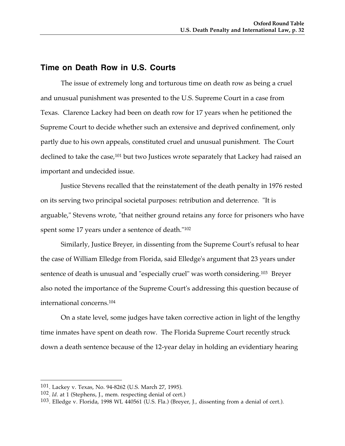#### **Time on Death Row in U.S. Courts**

The issue of extremely long and torturous time on death row as being a cruel and unusual punishment was presented to the U.S. Supreme Court in a case from Texas. Clarence Lackey had been on death row for 17 years when he petitioned the Supreme Court to decide whether such an extensive and deprived confinement, only partly due to his own appeals, constituted cruel and unusual punishment. The Court declined to take the case,<sup>101</sup> but two Justices wrote separately that Lackey had raised an important and undecided issue.

Justice Stevens recalled that the reinstatement of the death penalty in 1976 rested on its serving two principal societal purposes: retribution and deterrence. "It is arguable," Stevens wrote, "that neither ground retains any force for prisoners who have spent some 17 years under a sentence of death."102

Similarly, Justice Breyer, in dissenting from the Supreme Court's refusal to hear the case of William Elledge from Florida, said Elledge's argument that 23 years under sentence of death is unusual and "especially cruel" was worth considering.103 Breyer also noted the importance of the Supreme Court's addressing this question because of international concerns.104

On a state level, some judges have taken corrective action in light of the lengthy time inmates have spent on death row. The Florida Supreme Court recently struck down a death sentence because of the 12-year delay in holding an evidentiary hearing

<sup>101.</sup> Lackey v. Texas, No. 94-8262 (U.S. March 27, 1995).

<sup>102.</sup> *Id*. at 1 (Stephens, J., mem. respecting denial of cert.)

 $103$ . Elledge v. Florida, 1998 WL 440561 (U.S. Fla.) (Breyer, J., dissenting from a denial of cert.).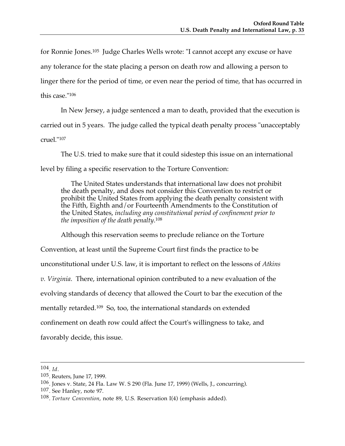for Ronnie Jones.105 Judge Charles Wells wrote: "I cannot accept any excuse or have any tolerance for the state placing a person on death row and allowing a person to linger there for the period of time, or even near the period of time, that has occurred in this case."106

In New Jersey, a judge sentenced a man to death, provided that the execution is carried out in 5 years. The judge called the typical death penalty process "unacceptably cruel."107

The U.S. tried to make sure that it could sidestep this issue on an international level by filing a specific reservation to the Torture Convention:

The United States understands that international law does not prohibit the death penalty, and does not consider this Convention to restrict or prohibit the United States from applying the death penalty consistent with the Fifth, Eighth and/or Fourteenth Amendments to the Constitution of the United States, *including any constitutional period of confinement prior to the imposition of the death penalty*. 108

Although this reservation seems to preclude reliance on the Torture Convention, at least until the Supreme Court first finds the practice to be unconstitutional under U.S. law, it is important to reflect on the lessons of *Atkins v. Virginia*. There, international opinion contributed to a new evaluation of the evolving standards of decency that allowed the Court to bar the execution of the mentally retarded.109 So, too, the international standards on extended confinement on death row could affect the Court's willingness to take, and favorably decide, this issue.

 <sup>104.</sup> *Id*.

<sup>105.</sup> Reuters, June 17, 1999.

 $106$ . Jones v. State, 24 Fla. Law W. S 290 (Fla. June 17, 1999) (Wells, J., concurring).

<sup>107.</sup> See Hanley, note 97.

<sup>108.</sup> *Torture Convention*, note 89, U.S. Reservation I(4) (emphasis added).